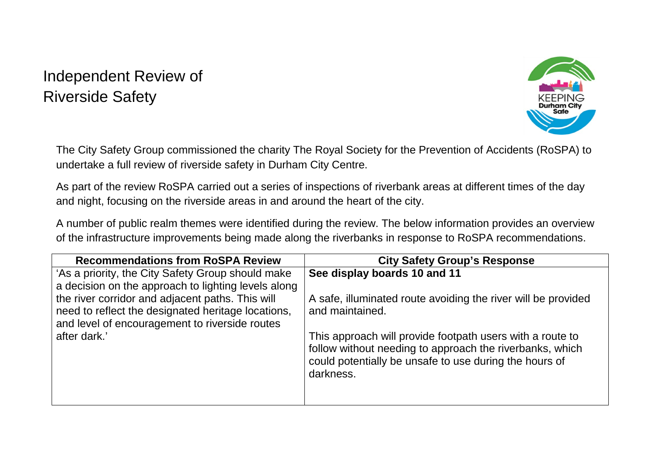## Independent Review of Riverside Safety



The City Safety Group commissioned the charity The Royal Society for the Prevention of Accidents (RoSPA) to undertake a full review of riverside safety in Durham City Centre.

As part of the review RoSPA carried out a series of inspections of riverbank areas at different times of the day and night, focusing on the riverside areas in and around the heart of the city.

A number of public realm themes were identified during the review. The below information provides an overview of the infrastructure improvements being made along the riverbanks in response to RoSPA recommendations.

| <b>Recommendations from RoSPA Review</b>            | <b>City Safety Group's Response</b>                                                                                                                                                          |
|-----------------------------------------------------|----------------------------------------------------------------------------------------------------------------------------------------------------------------------------------------------|
| 'As a priority, the City Safety Group should make   | See display boards 10 and 11                                                                                                                                                                 |
| a decision on the approach to lighting levels along |                                                                                                                                                                                              |
| the river corridor and adjacent paths. This will    | A safe, illuminated route avoiding the river will be provided                                                                                                                                |
| need to reflect the designated heritage locations,  | and maintained.                                                                                                                                                                              |
| and level of encouragement to riverside routes      |                                                                                                                                                                                              |
| after dark.'                                        | This approach will provide footpath users with a route to<br>follow without needing to approach the riverbanks, which<br>could potentially be unsafe to use during the hours of<br>darkness. |
|                                                     |                                                                                                                                                                                              |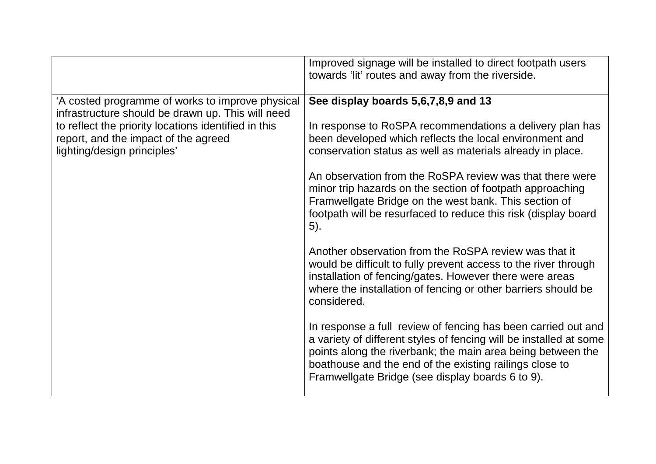|                                                                                                                                                                                                                                      | Improved signage will be installed to direct footpath users<br>towards 'lit' routes and away from the riverside.                                                                                                                                                                                                  |
|--------------------------------------------------------------------------------------------------------------------------------------------------------------------------------------------------------------------------------------|-------------------------------------------------------------------------------------------------------------------------------------------------------------------------------------------------------------------------------------------------------------------------------------------------------------------|
| 'A costed programme of works to improve physical<br>infrastructure should be drawn up. This will need<br>to reflect the priority locations identified in this<br>report, and the impact of the agreed<br>lighting/design principles' | See display boards 5,6,7,8,9 and 13<br>In response to RoSPA recommendations a delivery plan has<br>been developed which reflects the local environment and<br>conservation status as well as materials already in place.                                                                                          |
|                                                                                                                                                                                                                                      | An observation from the RoSPA review was that there were<br>minor trip hazards on the section of footpath approaching<br>Framwellgate Bridge on the west bank. This section of<br>footpath will be resurfaced to reduce this risk (display board<br>$(5)$ .                                                       |
|                                                                                                                                                                                                                                      | Another observation from the RoSPA review was that it<br>would be difficult to fully prevent access to the river through<br>installation of fencing/gates. However there were areas<br>where the installation of fencing or other barriers should be<br>considered.                                               |
|                                                                                                                                                                                                                                      | In response a full review of fencing has been carried out and<br>a variety of different styles of fencing will be installed at some<br>points along the riverbank; the main area being between the<br>boathouse and the end of the existing railings close to<br>Framwellgate Bridge (see display boards 6 to 9). |